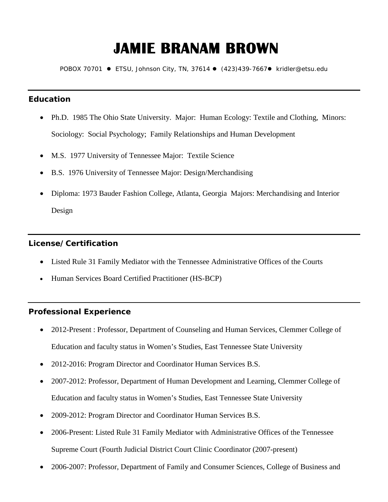# **JAMIE BRANAM BROWN**

POBOX 70701 · ETSU, Johnson City, TN, 37614 · (423)439-7667 · kridler@etsu.edu

# **Education**

- Ph.D. 1985 The Ohio State University. Major: Human Ecology: Textile and Clothing, Minors: Sociology: Social Psychology; Family Relationships and Human Development
- M.S. 1977 University of Tennessee Major: Textile Science
- B.S. 1976 University of Tennessee Major: Design/Merchandising
- Diploma: 1973 Bauder Fashion College, Atlanta, Georgia Majors: Merchandising and Interior Design

# **License/Certification**

- Listed Rule 31 Family Mediator with the Tennessee Administrative Offices of the Courts
- Human Services Board Certified Practitioner (HS-BCP)

# **Professional Experience**

- 2012-Present : Professor, Department of Counseling and Human Services, Clemmer College of Education and faculty status in Women's Studies, East Tennessee State University
- 2012-2016: Program Director and Coordinator Human Services B.S.
- 2007-2012: Professor, Department of Human Development and Learning, Clemmer College of Education and faculty status in Women's Studies, East Tennessee State University
- 2009-2012: Program Director and Coordinator Human Services B.S.
- 2006-Present: Listed Rule 31 Family Mediator with Administrative Offices of the Tennessee Supreme Court (Fourth Judicial District Court Clinic Coordinator (2007-present)
- 2006-2007: Professor, Department of Family and Consumer Sciences, College of Business and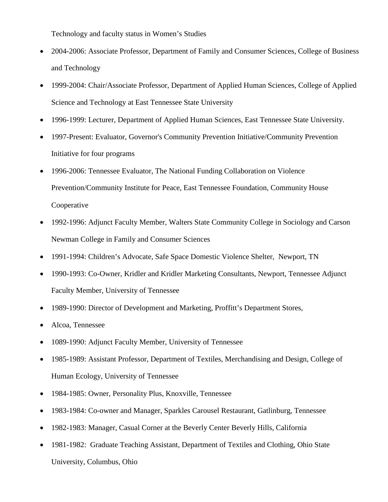Technology and faculty status in Women's Studies

- 2004-2006: Associate Professor, Department of Family and Consumer Sciences, College of Business and Technology
- 1999-2004: Chair/Associate Professor, Department of Applied Human Sciences, College of Applied Science and Technology at East Tennessee State University
- 1996-1999: Lecturer, Department of Applied Human Sciences, East Tennessee State University.
- 1997-Present: Evaluator, Governor's Community Prevention Initiative/Community Prevention Initiative for four programs
- 1996-2006: Tennessee Evaluator, The National Funding Collaboration on Violence Prevention/Community Institute for Peace, East Tennessee Foundation, Community House Cooperative
- 1992-1996: Adjunct Faculty Member, Walters State Community College in Sociology and Carson Newman College in Family and Consumer Sciences
- 1991-1994: Children's Advocate, Safe Space Domestic Violence Shelter, Newport, TN
- 1990-1993: Co-Owner, Kridler and Kridler Marketing Consultants, Newport, Tennessee Adjunct Faculty Member, University of Tennessee
- 1989-1990: Director of Development and Marketing, Proffitt's Department Stores,
- Alcoa, Tennessee
- 1089-1990: Adjunct Faculty Member, University of Tennessee
- 1985-1989: Assistant Professor, Department of Textiles, Merchandising and Design, College of Human Ecology, University of Tennessee
- 1984-1985: Owner, Personality Plus, Knoxville, Tennessee
- 1983-1984: Co-owner and Manager, Sparkles Carousel Restaurant, Gatlinburg, Tennessee
- 1982-1983: Manager, Casual Corner at the Beverly Center Beverly Hills, California
- 1981-1982: Graduate Teaching Assistant, Department of Textiles and Clothing, Ohio State University, Columbus, Ohio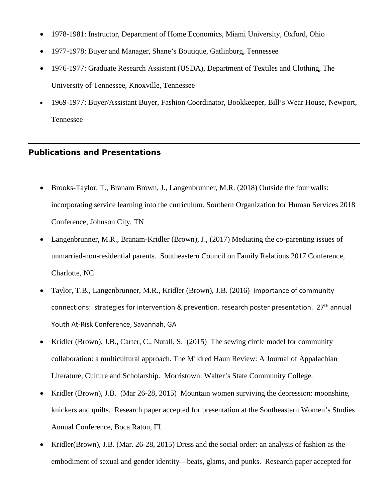- 1978-1981: Instructor, Department of Home Economics, Miami University, Oxford, Ohio
- 1977-1978: Buyer and Manager, Shane's Boutique, Gatlinburg, Tennessee
- 1976-1977: Graduate Research Assistant (USDA), Department of Textiles and Clothing, The University of Tennessee, Knoxville, Tennessee
- 1969-1977: Buyer/Assistant Buyer, Fashion Coordinator, Bookkeeper, Bill's Wear House, Newport, Tennessee

#### **Publications and Presentations**

- Brooks-Taylor, T., Branam Brown, J., Langenbrunner, M.R. (2018) Outside the four walls: incorporating service learning into the curriculum. Southern Organization for Human Services 2018 Conference, Johnson City, TN
- Langenbrunner, M.R., Branam-Kridler (Brown), J., (2017) Mediating the co-parenting issues of unmarried-non-residential parents. .Southeastern Council on Family Relations 2017 Conference, Charlotte, NC
- Taylor, T.B., Langenbrunner, M.R., Kridler (Brown), J.B. (2016) importance of community connections: strategies for intervention & prevention. research poster presentation. 27<sup>th</sup> annual Youth At-Risk Conference, Savannah, GA
- Kridler (Brown), J.B., Carter, C., Nutall, S. (2015) The sewing circle model for community collaboration: a multicultural approach. The Mildred Haun Review: A Journal of Appalachian Literature, Culture and Scholarship. Morristown: Walter's State Community College.
- Kridler (Brown), J.B. (Mar 26-28, 2015) Mountain women surviving the depression: moonshine, knickers and quilts. Research paper accepted for presentation at the Southeastern Women's Studies Annual Conference, Boca Raton, FL
- Kridler(Brown), J.B. (Mar. 26-28, 2015) Dress and the social order: an analysis of fashion as the embodiment of sexual and gender identity—beats, glams, and punks. Research paper accepted for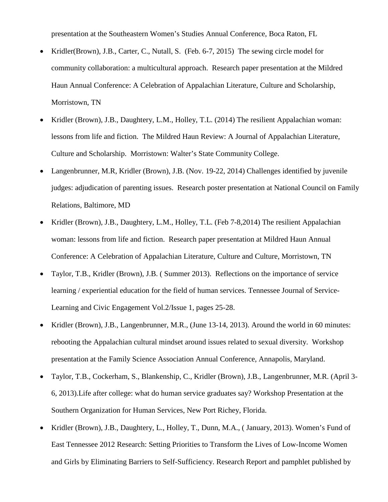presentation at the Southeastern Women's Studies Annual Conference, Boca Raton, FL

- Kridler(Brown), J.B., Carter, C., Nutall, S. (Feb. 6-7, 2015) The sewing circle model for community collaboration: a multicultural approach. Research paper presentation at the Mildred Haun Annual Conference: A Celebration of Appalachian Literature, Culture and Scholarship, Morristown, TN
- Kridler (Brown), J.B., Daughtery, L.M., Holley, T.L. (2014) The resilient Appalachian woman: lessons from life and fiction. The Mildred Haun Review: A Journal of Appalachian Literature, Culture and Scholarship. Morristown: Walter's State Community College.
- Langenbrunner, M.R, Kridler (Brown), J.B. (Nov. 19-22, 2014) Challenges identified by juvenile judges: adjudication of parenting issues. Research poster presentation at National Council on Family Relations, Baltimore, MD
- Kridler (Brown), J.B., Daughtery, L.M., Holley, T.L. (Feb 7-8,2014) The resilient Appalachian woman: lessons from life and fiction. Research paper presentation at Mildred Haun Annual Conference: A Celebration of Appalachian Literature, Culture and Culture, Morristown, TN
- Taylor, T.B., Kridler (Brown), J.B. ( Summer 2013). Reflections on the importance of service learning / experiential education for the field of human services. Tennessee Journal of Service-Learning and Civic Engagement Vol.2/Issue 1, pages 25-28.
- Kridler (Brown), J.B., Langenbrunner, M.R., (June 13-14, 2013). Around the world in 60 minutes: rebooting the Appalachian cultural mindset around issues related to sexual diversity. Workshop presentation at the Family Science Association Annual Conference, Annapolis, Maryland.
- Taylor, T.B., Cockerham, S., Blankenship, C., Kridler (Brown), J.B., Langenbrunner, M.R. (April 3- 6, 2013).Life after college: what do human service graduates say? Workshop Presentation at the Southern Organization for Human Services, New Port Richey, Florida.
- Kridler (Brown), J.B., Daughtery, L., Holley, T., Dunn, M.A., (January, 2013). Women's Fund of East Tennessee 2012 Research: Setting Priorities to Transform the Lives of Low-Income Women and Girls by Eliminating Barriers to Self-Sufficiency. Research Report and pamphlet published by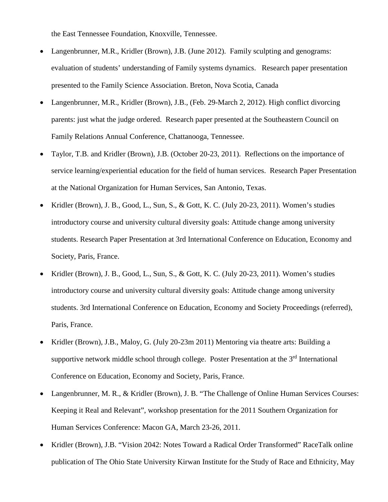the East Tennessee Foundation, Knoxville, Tennessee.

- Langenbrunner, M.R., Kridler (Brown), J.B. (June 2012). Family sculpting and genograms: evaluation of students' understanding of Family systems dynamics. Research paper presentation presented to the Family Science Association. Breton, Nova Scotia, Canada
- Langenbrunner, M.R., Kridler (Brown), J.B., (Feb. 29-March 2, 2012). High conflict divorcing parents: just what the judge ordered. Research paper presented at the Southeastern Council on Family Relations Annual Conference, Chattanooga, Tennessee.
- Taylor, T.B. and Kridler (Brown), J.B. (October 20-23, 2011). Reflections on the importance of service learning/experiential education for the field of human services. Research Paper Presentation at the National Organization for Human Services, San Antonio, Texas.
- Kridler (Brown), J. B., Good, L., Sun, S., & Gott, K. C. (July 20-23, 2011). Women's studies introductory course and university cultural diversity goals: Attitude change among university students. Research Paper Presentation at 3rd International Conference on Education, Economy and Society, Paris, France.
- Kridler (Brown), J. B., Good, L., Sun, S., & Gott, K. C. (July 20-23, 2011). Women's studies introductory course and university cultural diversity goals: Attitude change among university students. 3rd International Conference on Education, Economy and Society Proceedings (referred), Paris, France.
- Kridler (Brown), J.B., Maloy, G. (July 20-23m 2011) Mentoring via theatre arts: Building a supportive network middle school through college. Poster Presentation at the 3<sup>rd</sup> International Conference on Education, Economy and Society, Paris, France.
- Langenbrunner, M. R., & Kridler (Brown), J. B. "The Challenge of Online Human Services Courses: Keeping it Real and Relevant", workshop presentation for the 2011 Southern Organization for Human Services Conference: Macon GA, March 23-26, 2011.
- Kridler (Brown), J.B. "Vision 2042: Notes Toward a Radical Order Transformed" RaceTalk online publication of The Ohio State University Kirwan Institute for the Study of Race and Ethnicity, May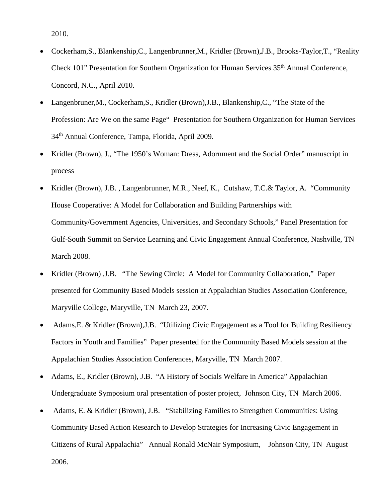2010.

- Cockerham,S., Blankenship,C., Langenbrunner,M., Kridler (Brown),J.B., Brooks-Taylor,T., "Reality Check 101" Presentation for Southern Organization for Human Services 35<sup>th</sup> Annual Conference, Concord, N.C., April 2010.
- Langenbruner,M., Cockerham,S., Kridler (Brown),J.B., Blankenship,C., "The State of the Profession: Are We on the same Page" Presentation for Southern Organization for Human Services 34th Annual Conference, Tampa, Florida, April 2009.
- Kridler (Brown), J., "The 1950's Woman: Dress, Adornment and the Social Order" manuscript in process
- Kridler (Brown), J.B. , Langenbrunner, M.R., Neef, K., Cutshaw, T.C.& Taylor, A. "Community House Cooperative: A Model for Collaboration and Building Partnerships with Community/Government Agencies, Universities, and Secondary Schools," Panel Presentation for Gulf-South Summit on Service Learning and Civic Engagement Annual Conference, Nashville, TN March 2008.
- Kridler (Brown) ,J.B. "The Sewing Circle: A Model for Community Collaboration," Paper presented for Community Based Models session at Appalachian Studies Association Conference, Maryville College, Maryville, TN March 23, 2007.
- Adams,E. & Kridler (Brown),J.B. "Utilizing Civic Engagement as a Tool for Building Resiliency Factors in Youth and Families" Paper presented for the Community Based Models session at the Appalachian Studies Association Conferences, Maryville, TN March 2007.
- Adams, E., Kridler (Brown), J.B. "A History of Socials Welfare in America" Appalachian Undergraduate Symposium oral presentation of poster project, Johnson City, TN March 2006.
- Adams, E. & Kridler (Brown), J.B. "Stabilizing Families to Strengthen Communities: Using Community Based Action Research to Develop Strategies for Increasing Civic Engagement in Citizens of Rural Appalachia" Annual Ronald McNair Symposium, Johnson City, TN August 2006.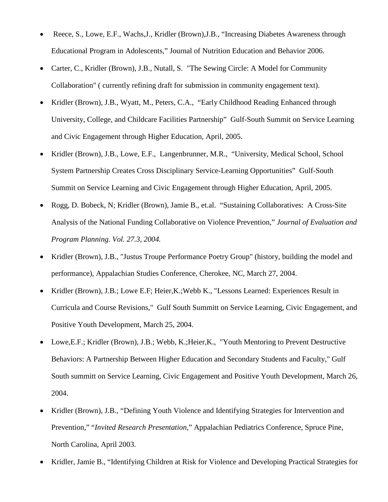- Reece, S., Lowe, E.F., Wachs,J., Kridler (Brown),J.B., "Increasing Diabetes Awareness through Educational Program in Adolescents," Journal of Nutrition Education and Behavior 2006.
- Carter, C., Kridler (Brown), J.B., Nutall, S. "The Sewing Circle: A Model for Community Collaboration" ( currently refining draft for submission in community engagement text).
- Kridler (Brown), J.B., Wyatt, M., Peters, C.A., "Early Childhood Reading Enhanced through University, College, and Childcare Facilities Partnership" Gulf-South Summit on Service Learning and Civic Engagement through Higher Education, April, 2005.
- Kridler (Brown), J.B., Lowe, E.F., Langenbrunner, M.R., "University, Medical School, School System Partnership Creates Cross Disciplinary Service-Learning Opportunities" Gulf-South Summit on Service Learning and Civic Engagement through Higher Education, April, 2005.
- Rogg, D. Bobeck, N; Kridler (Brown), Jamie B., et.al. "Sustaining Collaboratives: A Cross-Site Analysis of the National Funding Collaborative on Violence Prevention," *Journal of Evaluation and Program Planning. Vol. 27.3, 2004.*
- Kridler (Brown), J.B., "Justus Troupe Performance Poetry Group" (history, building the model and performance), Appalachian Studies Conference, Cherokee, NC, March 27, 2004.
- Kridler (Brown), J.B.; Lowe E.F; Heier,K.;Webb K., "Lessons Learned: Experiences Result in Curricula and Course Revisions," Gulf South Summitt on Service Learning, Civic Engagement, and Positive Youth Development, March 25, 2004.
- Lowe, E.F.; Kridler (Brown), J.B.; Webb, K.; Heier, K., "Youth Mentoring to Prevent Destructive Behaviors: A Partnership Between Higher Education and Secondary Students and Faculty," Gulf South summitt on Service Learning, Civic Engagement and Positive Youth Development, March 26, 2004.
- Kridler (Brown), J.B., "Defining Youth Violence and Identifying Strategies for Intervention and Prevention," "*Invited Research Presentation*," Appalachian Pediatrics Conference, Spruce Pine, North Carolina, April 2003.
- Kridler, Jamie B., "Identifying Children at Risk for Violence and Developing Practical Strategies for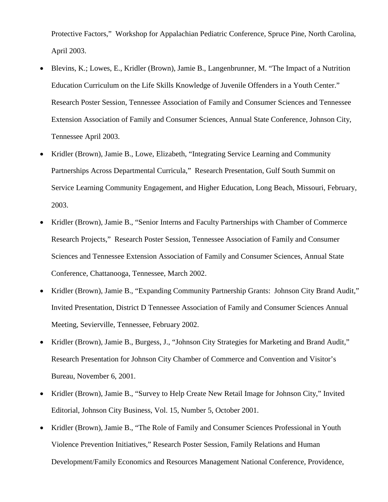Protective Factors," Workshop for Appalachian Pediatric Conference, Spruce Pine, North Carolina, April 2003.

- Blevins, K.; Lowes, E., Kridler (Brown), Jamie B., Langenbrunner, M. "The Impact of a Nutrition Education Curriculum on the Life Skills Knowledge of Juvenile Offenders in a Youth Center." Research Poster Session, Tennessee Association of Family and Consumer Sciences and Tennessee Extension Association of Family and Consumer Sciences, Annual State Conference, Johnson City, Tennessee April 2003.
- Kridler (Brown), Jamie B., Lowe, Elizabeth, "Integrating Service Learning and Community Partnerships Across Departmental Curricula," Research Presentation, Gulf South Summit on Service Learning Community Engagement, and Higher Education, Long Beach, Missouri, February, 2003.
- Kridler (Brown), Jamie B., "Senior Interns and Faculty Partnerships with Chamber of Commerce Research Projects," Research Poster Session, Tennessee Association of Family and Consumer Sciences and Tennessee Extension Association of Family and Consumer Sciences, Annual State Conference, Chattanooga, Tennessee, March 2002.
- Kridler (Brown), Jamie B., "Expanding Community Partnership Grants: Johnson City Brand Audit," Invited Presentation, District D Tennessee Association of Family and Consumer Sciences Annual Meeting, Sevierville, Tennessee, February 2002.
- Kridler (Brown), Jamie B., Burgess, J., "Johnson City Strategies for Marketing and Brand Audit," Research Presentation for Johnson City Chamber of Commerce and Convention and Visitor's Bureau, November 6, 2001.
- Kridler (Brown), Jamie B., "Survey to Help Create New Retail Image for Johnson City," Invited Editorial, Johnson City Business, Vol. 15, Number 5, October 2001.
- Kridler (Brown), Jamie B., "The Role of Family and Consumer Sciences Professional in Youth Violence Prevention Initiatives," Research Poster Session, Family Relations and Human Development/Family Economics and Resources Management National Conference, Providence,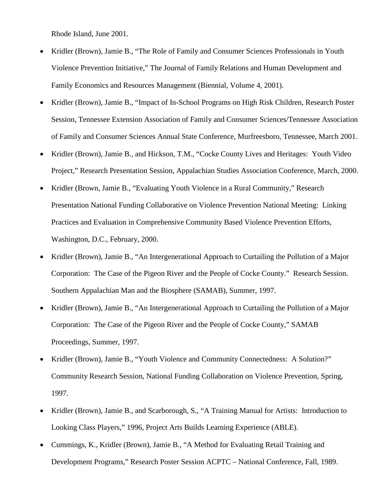Rhode Island, June 2001.

- Kridler (Brown), Jamie B., "The Role of Family and Consumer Sciences Professionals in Youth Violence Prevention Initiative," The Journal of Family Relations and Human Development and Family Economics and Resources Management (Biennial, Volume 4, 2001).
- Kridler (Brown), Jamie B., "Impact of In-School Programs on High Risk Children, Research Poster Session, Tennessee Extension Association of Family and Consumer Sciences/Tennessee Association of Family and Consumer Sciences Annual State Conference, Murfreesboro, Tennessee, March 2001.
- Kridler (Brown), Jamie B., and Hickson, T.M., "Cocke County Lives and Heritages: Youth Video Project," Research Presentation Session, Appalachian Studies Association Conference, March, 2000.
- Kridler (Brown, Jamie B., "Evaluating Youth Violence in a Rural Community," Research Presentation National Funding Collaborative on Violence Prevention National Meeting: Linking Practices and Evaluation in Comprehensive Community Based Violence Prevention Efforts, Washington, D.C., February, 2000.
- Kridler (Brown), Jamie B., "An Intergenerational Approach to Curtailing the Pollution of a Major Corporation: The Case of the Pigeon River and the People of Cocke County." Research Session. Southern Appalachian Man and the Biosphere (SAMAB), Summer, 1997.
- Kridler (Brown), Jamie B., "An Intergenerational Approach to Curtailing the Pollution of a Major Corporation: The Case of the Pigeon River and the People of Cocke County," SAMAB Proceedings, Summer, 1997.
- Kridler (Brown), Jamie B., "Youth Violence and Community Connectedness: A Solution?" Community Research Session, National Funding Collaboration on Violence Prevention, Spring, 1997.
- Kridler (Brown), Jamie B., and Scarborough, S., "A Training Manual for Artists: Introduction to Looking Class Players," 1996, Project Arts Builds Learning Experience (ABLE).
- Cummings, K., Kridler (Brown), Jamie B., "A Method for Evaluating Retail Training and Development Programs," Research Poster Session ACPTC – National Conference, Fall, 1989.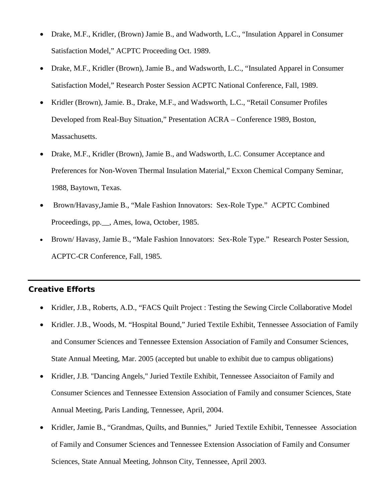- Drake, M.F., Kridler, (Brown) Jamie B., and Wadworth, L.C., "Insulation Apparel in Consumer Satisfaction Model," ACPTC Proceeding Oct. 1989.
- Drake, M.F., Kridler (Brown), Jamie B., and Wadsworth, L.C., "Insulated Apparel in Consumer Satisfaction Model," Research Poster Session ACPTC National Conference, Fall, 1989.
- Kridler (Brown), Jamie. B., Drake, M.F., and Wadsworth, L.C., "Retail Consumer Profiles Developed from Real-Buy Situation," Presentation ACRA – Conference 1989, Boston, Massachusetts.
- Drake, M.F., Kridler (Brown), Jamie B., and Wadsworth, L.C. Consumer Acceptance and Preferences for Non-Woven Thermal Insulation Material," Exxon Chemical Company Seminar, 1988, Baytown, Texas.
- Brown/Havasy,Jamie B., "Male Fashion Innovators: Sex-Role Type." ACPTC Combined Proceedings, pp.\_\_, Ames, Iowa, October, 1985.
- Brown/ Havasy, Jamie B., "Male Fashion Innovators: Sex-Role Type." Research Poster Session, ACPTC-CR Conference, Fall, 1985.

# **Creative Efforts**

- Kridler, J.B., Roberts, A.D., "FACS Quilt Project : Testing the Sewing Circle Collaborative Model
- Kridler. J.B., Woods, M. "Hospital Bound," Juried Textile Exhibit, Tennessee Association of Family and Consumer Sciences and Tennessee Extension Association of Family and Consumer Sciences, State Annual Meeting, Mar. 2005 (accepted but unable to exhibit due to campus obligations)
- Kridler, J.B. "Dancing Angels," Juried Textile Exhibit, Tennessee Associaiton of Family and Consumer Sciences and Tennessee Extension Association of Family and consumer Sciences, State Annual Meeting, Paris Landing, Tennessee, April, 2004.
- Kridler, Jamie B., "Grandmas, Quilts, and Bunnies," Juried Textile Exhibit, Tennessee Association of Family and Consumer Sciences and Tennessee Extension Association of Family and Consumer Sciences, State Annual Meeting, Johnson City, Tennessee, April 2003.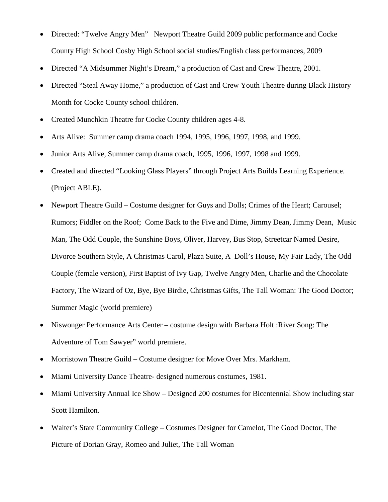- Directed: "Twelve Angry Men" Newport Theatre Guild 2009 public performance and Cocke County High School Cosby High School social studies/English class performances, 2009
- Directed "A Midsummer Night's Dream," a production of Cast and Crew Theatre, 2001.
- Directed "Steal Away Home," a production of Cast and Crew Youth Theatre during Black History Month for Cocke County school children.
- Created Munchkin Theatre for Cocke County children ages 4-8.
- Arts Alive: Summer camp drama coach 1994, 1995, 1996, 1997, 1998, and 1999.
- Junior Arts Alive, Summer camp drama coach, 1995, 1996, 1997, 1998 and 1999.
- Created and directed "Looking Glass Players" through Project Arts Builds Learning Experience. (Project ABLE).
- Newport Theatre Guild Costume designer for Guys and Dolls; Crimes of the Heart; Carousel; Rumors; Fiddler on the Roof; Come Back to the Five and Dime, Jimmy Dean, Jimmy Dean, Music Man, The Odd Couple, the Sunshine Boys, Oliver, Harvey, Bus Stop, Streetcar Named Desire, Divorce Southern Style, A Christmas Carol, Plaza Suite, A Doll's House, My Fair Lady, The Odd Couple (female version), First Baptist of Ivy Gap, Twelve Angry Men, Charlie and the Chocolate Factory, The Wizard of Oz, Bye, Bye Birdie, Christmas Gifts, The Tall Woman: The Good Doctor; Summer Magic (world premiere)
- Niswonger Performance Arts Center costume design with Barbara Holt :River Song: The Adventure of Tom Sawyer" world premiere.
- Morristown Theatre Guild Costume designer for Move Over Mrs. Markham.
- Miami University Dance Theatre- designed numerous costumes, 1981.
- Miami University Annual Ice Show Designed 200 costumes for Bicentennial Show including star Scott Hamilton.
- Walter's State Community College Costumes Designer for Camelot, The Good Doctor, The Picture of Dorian Gray, Romeo and Juliet, The Tall Woman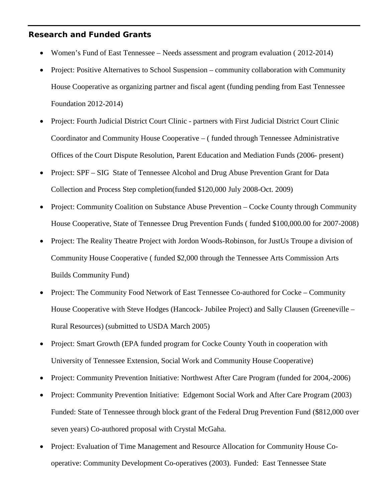#### **Research and Funded Grants**

- Women's Fund of East Tennessee Needs assessment and program evaluation (2012-2014)
- Project: Positive Alternatives to School Suspension community collaboration with Community House Cooperative as organizing partner and fiscal agent (funding pending from East Tennessee Foundation 2012-2014)
- Project: Fourth Judicial District Court Clinic partners with First Judicial District Court Clinic Coordinator and Community House Cooperative – ( funded through Tennessee Administrative Offices of the Court Dispute Resolution, Parent Education and Mediation Funds (2006- present)
- Project: SPF SIG State of Tennessee Alcohol and Drug Abuse Prevention Grant for Data Collection and Process Step completion(funded \$120,000 July 2008-Oct. 2009)
- Project: Community Coalition on Substance Abuse Prevention Cocke County through Community House Cooperative, State of Tennessee Drug Prevention Funds ( funded \$100,000.00 for 2007-2008)
- Project: The Reality Theatre Project with Jordon Woods-Robinson, for JustUs Troupe a division of Community House Cooperative ( funded \$2,000 through the Tennessee Arts Commission Arts Builds Community Fund)
- Project: The Community Food Network of East Tennessee Co-authored for Cocke Community House Cooperative with Steve Hodges (Hancock- Jubilee Project) and Sally Clausen (Greeneville – Rural Resources) (submitted to USDA March 2005)
- Project: Smart Growth (EPA funded program for Cocke County Youth in cooperation with University of Tennessee Extension, Social Work and Community House Cooperative)
- Project: Community Prevention Initiative: Northwest After Care Program (funded for 2004,-2006)
- Project: Community Prevention Initiative: Edgemont Social Work and After Care Program (2003) Funded: State of Tennessee through block grant of the Federal Drug Prevention Fund (\$812,000 over seven years) Co-authored proposal with Crystal McGaha.
- Project: Evaluation of Time Management and Resource Allocation for Community House Cooperative: Community Development Co-operatives (2003). Funded: East Tennessee State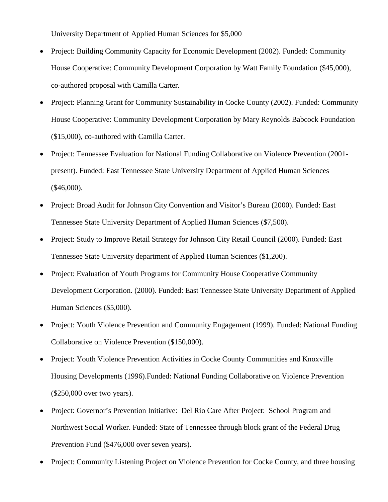University Department of Applied Human Sciences for \$5,000

- Project: Building Community Capacity for Economic Development (2002). Funded: Community House Cooperative: Community Development Corporation by Watt Family Foundation (\$45,000), co-authored proposal with Camilla Carter.
- Project: Planning Grant for Community Sustainability in Cocke County (2002). Funded: Community House Cooperative: Community Development Corporation by Mary Reynolds Babcock Foundation (\$15,000), co-authored with Camilla Carter.
- Project: Tennessee Evaluation for National Funding Collaborative on Violence Prevention (2001– present). Funded: East Tennessee State University Department of Applied Human Sciences (\$46,000).
- Project: Broad Audit for Johnson City Convention and Visitor's Bureau (2000). Funded: East Tennessee State University Department of Applied Human Sciences (\$7,500).
- Project: Study to Improve Retail Strategy for Johnson City Retail Council (2000). Funded: East Tennessee State University department of Applied Human Sciences (\$1,200).
- Project: Evaluation of Youth Programs for Community House Cooperative Community Development Corporation. (2000). Funded: East Tennessee State University Department of Applied Human Sciences (\$5,000).
- Project: Youth Violence Prevention and Community Engagement (1999). Funded: National Funding Collaborative on Violence Prevention (\$150,000).
- Project: Youth Violence Prevention Activities in Cocke County Communities and Knoxville Housing Developments (1996).Funded: National Funding Collaborative on Violence Prevention (\$250,000 over two years).
- Project: Governor's Prevention Initiative: Del Rio Care After Project: School Program and Northwest Social Worker. Funded: State of Tennessee through block grant of the Federal Drug Prevention Fund (\$476,000 over seven years).
- Project: Community Listening Project on Violence Prevention for Cocke County, and three housing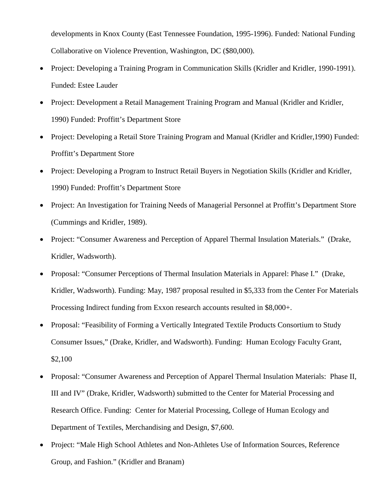developments in Knox County (East Tennessee Foundation, 1995-1996). Funded: National Funding Collaborative on Violence Prevention, Washington, DC (\$80,000).

- Project: Developing a Training Program in Communication Skills (Kridler and Kridler, 1990-1991). Funded: Estee Lauder
- Project: Development a Retail Management Training Program and Manual (Kridler and Kridler, 1990) Funded: Proffitt's Department Store
- Project: Developing a Retail Store Training Program and Manual (Kridler and Kridler,1990) Funded: Proffitt's Department Store
- Project: Developing a Program to Instruct Retail Buyers in Negotiation Skills (Kridler and Kridler, 1990) Funded: Proffitt's Department Store
- Project: An Investigation for Training Needs of Managerial Personnel at Proffitt's Department Store (Cummings and Kridler, 1989).
- Project: "Consumer Awareness and Perception of Apparel Thermal Insulation Materials." (Drake, Kridler, Wadsworth).
- Proposal: "Consumer Perceptions of Thermal Insulation Materials in Apparel: Phase I." (Drake, Kridler, Wadsworth). Funding: May, 1987 proposal resulted in \$5,333 from the Center For Materials Processing Indirect funding from Exxon research accounts resulted in \$8,000+.
- Proposal: "Feasibility of Forming a Vertically Integrated Textile Products Consortium to Study Consumer Issues," (Drake, Kridler, and Wadsworth). Funding: Human Ecology Faculty Grant, \$2,100
- Proposal: "Consumer Awareness and Perception of Apparel Thermal Insulation Materials: Phase II, III and IV" (Drake, Kridler, Wadsworth) submitted to the Center for Material Processing and Research Office. Funding: Center for Material Processing, College of Human Ecology and Department of Textiles, Merchandising and Design, \$7,600.
- Project: "Male High School Athletes and Non-Athletes Use of Information Sources, Reference Group, and Fashion." (Kridler and Branam)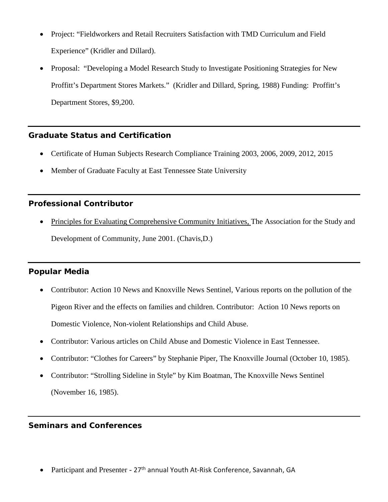- Project: "Fieldworkers and Retail Recruiters Satisfaction with TMD Curriculum and Field Experience" (Kridler and Dillard).
- Proposal: "Developing a Model Research Study to Investigate Positioning Strategies for New Proffitt's Department Stores Markets." (Kridler and Dillard, Spring, 1988) Funding: Proffitt's Department Stores, \$9,200.

## **Graduate Status and Certification**

- Certificate of Human Subjects Research Compliance Training 2003, 2006, 2009, 2012, 2015
- Member of Graduate Faculty at East Tennessee State University

# **Professional Contributor**

• Principles for Evaluating Comprehensive Community Initiatives, The Association for the Study and Development of Community, June 2001. (Chavis,D.)

# **Popular Media**

- Contributor: Action 10 News and Knoxville News Sentinel, Various reports on the pollution of the Pigeon River and the effects on families and children. Contributor: Action 10 News reports on Domestic Violence, Non-violent Relationships and Child Abuse.
- Contributor: Various articles on Child Abuse and Domestic Violence in East Tennessee.
- Contributor: "Clothes for Careers" by Stephanie Piper, The Knoxville Journal (October 10, 1985).
- Contributor: "Strolling Sideline in Style" by Kim Boatman, The Knoxville News Sentinel (November 16, 1985).

# **Seminars and Conferences**

Participant and Presenter - 27<sup>th</sup> annual Youth At-Risk Conference, Savannah, GA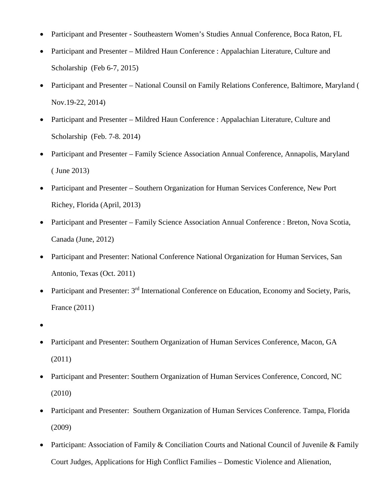- Participant and Presenter Southeastern Women's Studies Annual Conference, Boca Raton, FL
- Participant and Presenter Mildred Haun Conference : Appalachian Literature, Culture and Scholarship (Feb 6-7, 2015)
- Participant and Presenter National Counsil on Family Relations Conference, Baltimore, Maryland ( Nov.19-22, 2014)
- Participant and Presenter Mildred Haun Conference : Appalachian Literature, Culture and Scholarship (Feb. 7-8. 2014)
- Participant and Presenter Family Science Association Annual Conference, Annapolis, Maryland ( June 2013)
- Participant and Presenter Southern Organization for Human Services Conference, New Port Richey, Florida (April, 2013)
- Participant and Presenter Family Science Association Annual Conference : Breton, Nova Scotia, Canada (June, 2012)
- Participant and Presenter: National Conference National Organization for Human Services, San Antonio, Texas (Oct. 2011)
- Participant and Presenter: 3<sup>rd</sup> International Conference on Education, Economy and Society, Paris, France (2011)
- •
- Participant and Presenter: Southern Organization of Human Services Conference, Macon, GA (2011)
- Participant and Presenter: Southern Organization of Human Services Conference, Concord, NC (2010)
- Participant and Presenter: Southern Organization of Human Services Conference. Tampa, Florida (2009)
- Participant: Association of Family & Conciliation Courts and National Council of Juvenile & Family Court Judges, Applications for High Conflict Families – Domestic Violence and Alienation,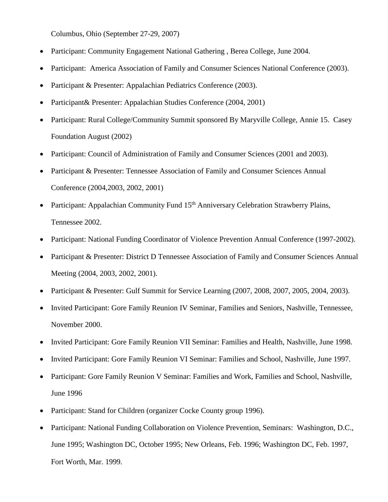Columbus, Ohio (September 27-29, 2007)

- Participant: Community Engagement National Gathering, Berea College, June 2004.
- Participant: America Association of Family and Consumer Sciences National Conference (2003).
- Participant & Presenter: Appalachian Pediatrics Conference (2003).
- Participant& Presenter: Appalachian Studies Conference (2004, 2001)
- Participant: Rural College/Community Summit sponsored By Maryville College, Annie 15. Casey Foundation August (2002)
- Participant: Council of Administration of Family and Consumer Sciences (2001 and 2003).
- Participant & Presenter: Tennessee Association of Family and Consumer Sciences Annual Conference (2004,2003, 2002, 2001)
- Participant: Appalachian Community Fund 15<sup>th</sup> Anniversary Celebration Strawberry Plains, Tennessee 2002.
- Participant: National Funding Coordinator of Violence Prevention Annual Conference (1997-2002).
- Participant & Presenter: District D Tennessee Association of Family and Consumer Sciences Annual Meeting (2004, 2003, 2002, 2001).
- Participant & Presenter: Gulf Summit for Service Learning (2007, 2008, 2007, 2005, 2004, 2003).
- Invited Participant: Gore Family Reunion IV Seminar, Families and Seniors, Nashville, Tennessee, November 2000.
- Invited Participant: Gore Family Reunion VII Seminar: Families and Health, Nashville, June 1998.
- Invited Participant: Gore Family Reunion VI Seminar: Families and School, Nashville, June 1997.
- Participant: Gore Family Reunion V Seminar: Families and Work, Families and School, Nashville, June 1996
- Participant: Stand for Children (organizer Cocke County group 1996).
- Participant: National Funding Collaboration on Violence Prevention, Seminars: Washington, D.C., June 1995; Washington DC, October 1995; New Orleans, Feb. 1996; Washington DC, Feb. 1997, Fort Worth, Mar. 1999.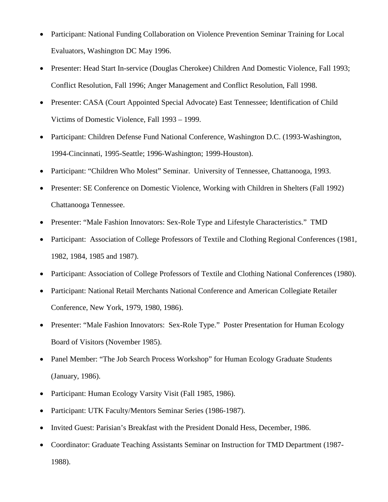- Participant: National Funding Collaboration on Violence Prevention Seminar Training for Local Evaluators, Washington DC May 1996.
- Presenter: Head Start In-service (Douglas Cherokee) Children And Domestic Violence, Fall 1993; Conflict Resolution, Fall 1996; Anger Management and Conflict Resolution, Fall 1998.
- Presenter: CASA (Court Appointed Special Advocate) East Tennessee; Identification of Child Victims of Domestic Violence, Fall 1993 – 1999.
- Participant: Children Defense Fund National Conference, Washington D.C. (1993-Washington, 1994-Cincinnati, 1995-Seattle; 1996-Washington; 1999-Houston).
- Participant: "Children Who Molest" Seminar. University of Tennessee, Chattanooga, 1993.
- Presenter: SE Conference on Domestic Violence, Working with Children in Shelters (Fall 1992) Chattanooga Tennessee.
- Presenter: "Male Fashion Innovators: Sex-Role Type and Lifestyle Characteristics." TMD
- Participant: Association of College Professors of Textile and Clothing Regional Conferences (1981, 1982, 1984, 1985 and 1987).
- Participant: Association of College Professors of Textile and Clothing National Conferences (1980).
- Participant: National Retail Merchants National Conference and American Collegiate Retailer Conference, New York, 1979, 1980, 1986).
- Presenter: "Male Fashion Innovators: Sex-Role Type." Poster Presentation for Human Ecology Board of Visitors (November 1985).
- Panel Member: "The Job Search Process Workshop" for Human Ecology Graduate Students (January, 1986).
- Participant: Human Ecology Varsity Visit (Fall 1985, 1986).
- Participant: UTK Faculty/Mentors Seminar Series (1986-1987).
- Invited Guest: Parisian's Breakfast with the President Donald Hess, December, 1986.
- Coordinator: Graduate Teaching Assistants Seminar on Instruction for TMD Department (1987- 1988).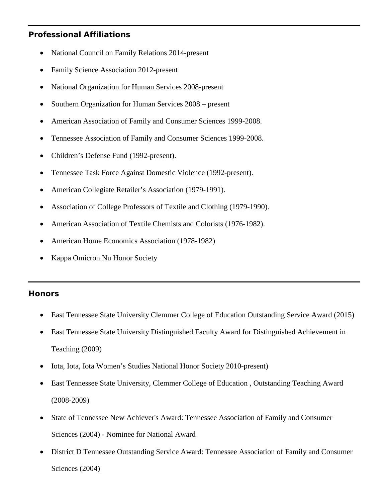# **Professional Affiliations**

- National Council on Family Relations 2014-present
- Family Science Association 2012-present
- National Organization for Human Services 2008-present
- Southern Organization for Human Services 2008 present
- American Association of Family and Consumer Sciences 1999-2008.
- Tennessee Association of Family and Consumer Sciences 1999-2008.
- Children's Defense Fund (1992-present).
- Tennessee Task Force Against Domestic Violence (1992-present).
- American Collegiate Retailer's Association (1979-1991).
- Association of College Professors of Textile and Clothing (1979-1990).
- American Association of Textile Chemists and Colorists (1976-1982).
- American Home Economics Association (1978-1982)
- Kappa Omicron Nu Honor Society

## **Honors**

- East Tennessee State University Clemmer College of Education Outstanding Service Award (2015)
- East Tennessee State University Distinguished Faculty Award for Distinguished Achievement in Teaching (2009)
- Iota, Iota, Iota Women's Studies National Honor Society 2010-present)
- East Tennessee State University, Clemmer College of Education , Outstanding Teaching Award (2008-2009)
- State of Tennessee New Achiever's Award: Tennessee Association of Family and Consumer Sciences (2004) - Nominee for National Award
- District D Tennessee Outstanding Service Award: Tennessee Association of Family and Consumer Sciences (2004)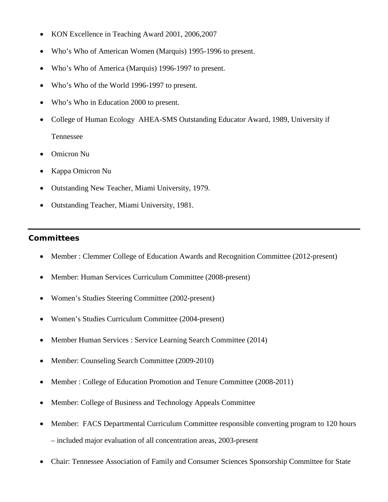- KON Excellence in Teaching Award 2001, 2006,2007
- Who's Who of American Women (Marquis) 1995-1996 to present.
- Who's Who of America (Marquis) 1996-1997 to present.
- Who's Who of the World 1996-1997 to present.
- Who's Who in Education 2000 to present.
- College of Human Ecology AHEA-SMS Outstanding Educator Award, 1989, University if Tennessee
- Omicron Nu
- Kappa Omicron Nu
- Outstanding New Teacher, Miami University, 1979.
- Outstanding Teacher, Miami University, 1981.

# **Committees**

- Member : Clemmer College of Education Awards and Recognition Committee (2012-present)
- Member: Human Services Curriculum Committee (2008-present)
- Women's Studies Steering Committee (2002-present)
- Women's Studies Curriculum Committee (2004-present)
- Member Human Services : Service Learning Search Committee (2014)
- Member: Counseling Search Committee (2009-2010)
- Member : College of Education Promotion and Tenure Committee (2008-2011)
- Member: College of Business and Technology Appeals Committee
- Member: FACS Departmental Curriculum Committee responsible converting program to 120 hours – included major evaluation of all concentration areas, 2003-present
- Chair: Tennessee Association of Family and Consumer Sciences Sponsorship Committee for State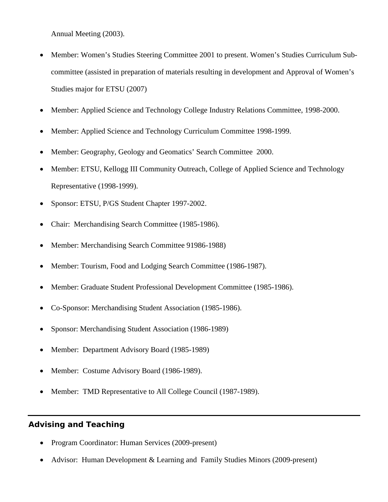Annual Meeting (2003).

- Member: Women's Studies Steering Committee 2001 to present. Women's Studies Curriculum Subcommittee (assisted in preparation of materials resulting in development and Approval of Women's Studies major for ETSU (2007)
- Member: Applied Science and Technology College Industry Relations Committee, 1998-2000.
- Member: Applied Science and Technology Curriculum Committee 1998-1999.
- Member: Geography, Geology and Geomatics' Search Committee 2000.
- Member: ETSU, Kellogg III Community Outreach, College of Applied Science and Technology Representative (1998-1999).
- Sponsor: ETSU, P/GS Student Chapter 1997-2002.
- Chair: Merchandising Search Committee (1985-1986).
- Member: Merchandising Search Committee 91986-1988)
- Member: Tourism, Food and Lodging Search Committee (1986-1987).
- Member: Graduate Student Professional Development Committee (1985-1986).
- Co-Sponsor: Merchandising Student Association (1985-1986).
- Sponsor: Merchandising Student Association (1986-1989)
- Member: Department Advisory Board (1985-1989)
- Member: Costume Advisory Board (1986-1989).
- Member: TMD Representative to All College Council (1987-1989).

#### **Advising and Teaching**

- Program Coordinator: Human Services (2009-present)
- Advisor: Human Development & Learning and Family Studies Minors (2009-present)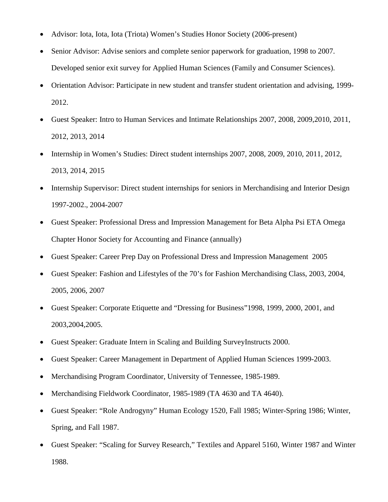- Advisor: Iota, Iota, Iota (Triota) Women's Studies Honor Society (2006-present)
- Senior Advisor: Advise seniors and complete senior paperwork for graduation, 1998 to 2007. Developed senior exit survey for Applied Human Sciences (Family and Consumer Sciences).
- Orientation Advisor: Participate in new student and transfer student orientation and advising, 1999- 2012.
- Guest Speaker: Intro to Human Services and Intimate Relationships 2007, 2008, 2009,2010, 2011, 2012, 2013, 2014
- Internship in Women's Studies: Direct student internships 2007, 2008, 2009, 2010, 2011, 2012, 2013, 2014, 2015
- Internship Supervisor: Direct student internships for seniors in Merchandising and Interior Design 1997-2002., 2004-2007
- Guest Speaker: Professional Dress and Impression Management for Beta Alpha Psi ETA Omega Chapter Honor Society for Accounting and Finance (annually)
- Guest Speaker: Career Prep Day on Professional Dress and Impression Management 2005
- Guest Speaker: Fashion and Lifestyles of the 70's for Fashion Merchandising Class, 2003, 2004, 2005, 2006, 2007
- Guest Speaker: Corporate Etiquette and "Dressing for Business"1998, 1999, 2000, 2001, and 2003,2004,2005.
- Guest Speaker: Graduate Intern in Scaling and Building SurveyInstructs 2000.
- Guest Speaker: Career Management in Department of Applied Human Sciences 1999-2003.
- Merchandising Program Coordinator, University of Tennessee, 1985-1989.
- Merchandising Fieldwork Coordinator, 1985-1989 (TA 4630 and TA 4640).
- Guest Speaker: "Role Androgyny" Human Ecology 1520, Fall 1985; Winter-Spring 1986; Winter, Spring, and Fall 1987.
- Guest Speaker: "Scaling for Survey Research," Textiles and Apparel 5160, Winter 1987 and Winter 1988.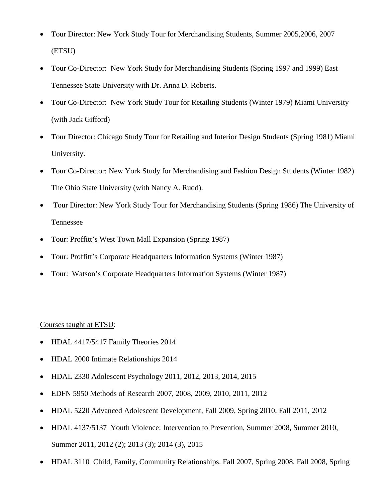- Tour Director: New York Study Tour for Merchandising Students, Summer 2005,2006, 2007 (ETSU)
- Tour Co-Director: New York Study for Merchandising Students (Spring 1997 and 1999) East Tennessee State University with Dr. Anna D. Roberts.
- Tour Co-Director: New York Study Tour for Retailing Students (Winter 1979) Miami University (with Jack Gifford)
- Tour Director: Chicago Study Tour for Retailing and Interior Design Students (Spring 1981) Miami University.
- Tour Co-Director: New York Study for Merchandising and Fashion Design Students (Winter 1982) The Ohio State University (with Nancy A. Rudd).
- Tour Director: New York Study Tour for Merchandising Students (Spring 1986) The University of Tennessee
- Tour: Proffitt's West Town Mall Expansion (Spring 1987)
- Tour: Proffitt's Corporate Headquarters Information Systems (Winter 1987)
- Tour: Watson's Corporate Headquarters Information Systems (Winter 1987)

## Courses taught at ETSU:

- HDAL 4417/5417 Family Theories 2014
- HDAL 2000 Intimate Relationships 2014
- HDAL 2330 Adolescent Psychology 2011, 2012, 2013, 2014, 2015
- EDFN 5950 Methods of Research 2007, 2008, 2009, 2010, 2011, 2012
- HDAL 5220 Advanced Adolescent Development, Fall 2009, Spring 2010, Fall 2011, 2012
- HDAL 4137/5137 Youth Violence: Intervention to Prevention, Summer 2008, Summer 2010, Summer 2011, 2012 (2); 2013 (3); 2014 (3), 2015
- HDAL 3110 Child, Family, Community Relationships. Fall 2007, Spring 2008, Fall 2008, Spring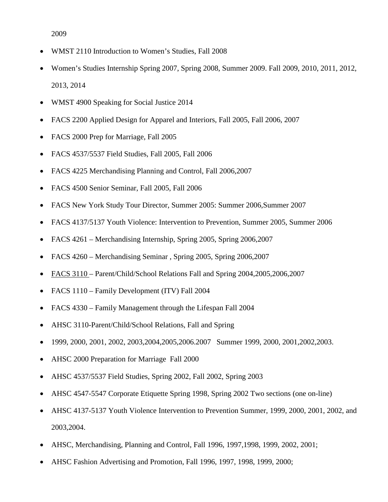2009

- WMST 2110 Introduction to Women's Studies, Fall 2008
- Women's Studies Internship Spring 2007, Spring 2008, Summer 2009. Fall 2009, 2010, 2011, 2012, 2013, 2014
- WMST 4900 Speaking for Social Justice 2014
- FACS 2200 Applied Design for Apparel and Interiors, Fall 2005, Fall 2006, 2007
- FACS 2000 Prep for Marriage, Fall 2005
- FACS 4537/5537 Field Studies, Fall 2005, Fall 2006
- FACS 4225 Merchandising Planning and Control, Fall 2006,2007
- FACS 4500 Senior Seminar, Fall 2005, Fall 2006
- FACS New York Study Tour Director, Summer 2005: Summer 2006, Summer 2007
- FACS 4137/5137 Youth Violence: Intervention to Prevention, Summer 2005, Summer 2006
- FACS 4261 Merchandising Internship, Spring 2005, Spring 2006,2007
- FACS 4260 Merchandising Seminar , Spring 2005, Spring 2006,2007
- FACS 3110 Parent/Child/School Relations Fall and Spring 2004, 2005, 2006, 2007
- FACS 1110 Family Development (ITV) Fall 2004
- FACS 4330 Family Management through the Lifespan Fall 2004
- AHSC 3110-Parent/Child/School Relations, Fall and Spring
- 1999, 2000, 2001, 2002, 2003,2004,2005,2006.2007 Summer 1999, 2000, 2001,2002,2003.
- AHSC 2000 Preparation for Marriage Fall 2000
- AHSC 4537/5537 Field Studies, Spring 2002, Fall 2002, Spring 2003
- AHSC 4547-5547 Corporate Etiquette Spring 1998, Spring 2002 Two sections (one on-line)
- AHSC 4137-5137 Youth Violence Intervention to Prevention Summer, 1999, 2000, 2001, 2002, and 2003,2004.
- AHSC, Merchandising, Planning and Control, Fall 1996, 1997,1998, 1999, 2002, 2001;
- AHSC Fashion Advertising and Promotion, Fall 1996, 1997, 1998, 1999, 2000;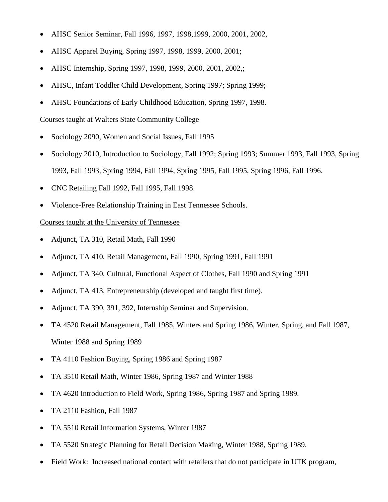- AHSC Senior Seminar, Fall 1996, 1997, 1998,1999, 2000, 2001, 2002,
- AHSC Apparel Buying, Spring 1997, 1998, 1999, 2000, 2001;
- AHSC Internship, Spring 1997, 1998, 1999, 2000, 2001, 2002,;
- AHSC, Infant Toddler Child Development, Spring 1997; Spring 1999;
- AHSC Foundations of Early Childhood Education, Spring 1997, 1998.

#### Courses taught at Walters State Community College

- Sociology 2090, Women and Social Issues, Fall 1995
- Sociology 2010, Introduction to Sociology, Fall 1992; Spring 1993; Summer 1993, Fall 1993, Spring 1993, Fall 1993, Spring 1994, Fall 1994, Spring 1995, Fall 1995, Spring 1996, Fall 1996.
- CNC Retailing Fall 1992, Fall 1995, Fall 1998.
- Violence-Free Relationship Training in East Tennessee Schools.

#### Courses taught at the University of Tennessee

- Adjunct, TA 310, Retail Math, Fall 1990
- Adjunct, TA 410, Retail Management, Fall 1990, Spring 1991, Fall 1991
- Adjunct, TA 340, Cultural, Functional Aspect of Clothes, Fall 1990 and Spring 1991
- Adjunct, TA 413, Entrepreneurship (developed and taught first time).
- Adjunct, TA 390, 391, 392, Internship Seminar and Supervision.
- TA 4520 Retail Management, Fall 1985, Winters and Spring 1986, Winter, Spring, and Fall 1987, Winter 1988 and Spring 1989
- TA 4110 Fashion Buying, Spring 1986 and Spring 1987
- TA 3510 Retail Math, Winter 1986, Spring 1987 and Winter 1988
- TA 4620 Introduction to Field Work, Spring 1986, Spring 1987 and Spring 1989.
- TA 2110 Fashion, Fall 1987
- TA 5510 Retail Information Systems, Winter 1987
- TA 5520 Strategic Planning for Retail Decision Making, Winter 1988, Spring 1989.
- Field Work: Increased national contact with retailers that do not participate in UTK program,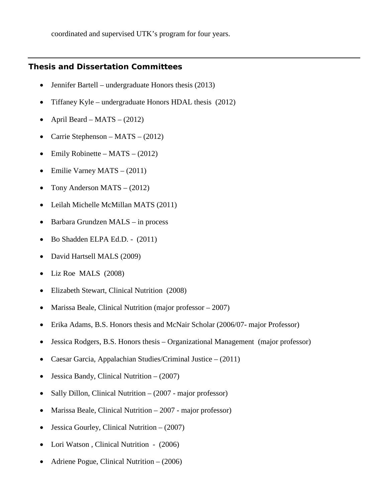coordinated and supervised UTK's program for four years.

## **Thesis and Dissertation Committees**

- Jennifer Bartell undergraduate Honors thesis (2013)
- Tiffaney Kyle undergraduate Honors HDAL thesis (2012)
- April Beard MATS (2012)
- Carrie Stephenson MATS (2012)
- Emily Robinette MATS  $(2012)$
- Emilie Varney MATS (2011)
- Tony Anderson MATS (2012)
- Leilah Michelle McMillan MATS (2011)
- Barbara Grundzen MALS in process
- Bo Shadden ELPA Ed.D. (2011)
- David Hartsell MALS (2009)
- Liz Roe MALS (2008)
- Elizabeth Stewart, Clinical Nutrition (2008)
- Marissa Beale, Clinical Nutrition (major professor 2007)
- Erika Adams, B.S. Honors thesis and McNair Scholar (2006/07- major Professor)
- Jessica Rodgers, B.S. Honors thesis Organizational Management (major professor)
- Caesar Garcia, Appalachian Studies/Criminal Justice (2011)
- Jessica Bandy, Clinical Nutrition (2007)
- Sally Dillon, Clinical Nutrition (2007 major professor)
- Marissa Beale, Clinical Nutrition 2007 major professor)
- Jessica Gourley, Clinical Nutrition (2007)
- Lori Watson, Clinical Nutrition (2006)
- Adriene Pogue, Clinical Nutrition (2006)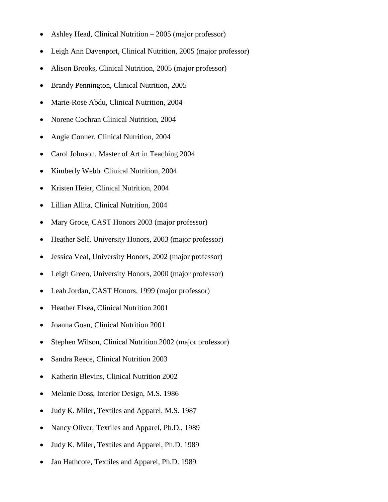- Ashley Head, Clinical Nutrition 2005 (major professor)
- Leigh Ann Davenport, Clinical Nutrition, 2005 (major professor)
- Alison Brooks, Clinical Nutrition, 2005 (major professor)
- Brandy Pennington, Clinical Nutrition, 2005
- Marie-Rose Abdu, Clinical Nutrition, 2004
- Norene Cochran Clinical Nutrition, 2004
- Angie Conner, Clinical Nutrition, 2004
- Carol Johnson, Master of Art in Teaching 2004
- Kimberly Webb. Clinical Nutrition, 2004
- Kristen Heier, Clinical Nutrition, 2004
- Lillian Allita, Clinical Nutrition, 2004
- Mary Groce, CAST Honors 2003 (major professor)
- Heather Self, University Honors, 2003 (major professor)
- Jessica Veal, University Honors, 2002 (major professor)
- Leigh Green, University Honors, 2000 (major professor)
- Leah Jordan, CAST Honors, 1999 (major professor)
- Heather Elsea, Clinical Nutrition 2001
- Joanna Goan, Clinical Nutrition 2001
- Stephen Wilson, Clinical Nutrition 2002 (major professor)
- Sandra Reece, Clinical Nutrition 2003
- Katherin Blevins, Clinical Nutrition 2002
- Melanie Doss, Interior Design, M.S. 1986
- Judy K. Miler, Textiles and Apparel, M.S. 1987
- Nancy Oliver, Textiles and Apparel, Ph.D., 1989
- Judy K. Miler, Textiles and Apparel, Ph.D. 1989
- Jan Hathcote, Textiles and Apparel, Ph.D. 1989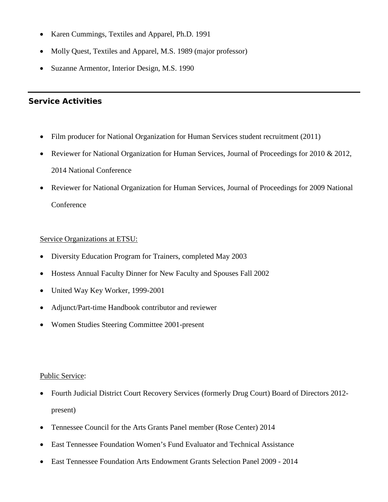- Karen Cummings, Textiles and Apparel, Ph.D. 1991
- Molly Quest, Textiles and Apparel, M.S. 1989 (major professor)
- Suzanne Armentor, Interior Design, M.S. 1990

# **Service Activities**

- Film producer for National Organization for Human Services student recruitment (2011)
- Reviewer for National Organization for Human Services, Journal of Proceedings for 2010 & 2012, 2014 National Conference
- Reviewer for National Organization for Human Services, Journal of Proceedings for 2009 National **Conference**

## Service Organizations at ETSU:

- Diversity Education Program for Trainers, completed May 2003
- Hostess Annual Faculty Dinner for New Faculty and Spouses Fall 2002
- United Way Key Worker, 1999-2001
- Adjunct/Part-time Handbook contributor and reviewer
- Women Studies Steering Committee 2001-present

#### Public Service:

- Fourth Judicial District Court Recovery Services (formerly Drug Court) Board of Directors 2012 present)
- Tennessee Council for the Arts Grants Panel member (Rose Center) 2014
- East Tennessee Foundation Women's Fund Evaluator and Technical Assistance
- East Tennessee Foundation Arts Endowment Grants Selection Panel 2009 2014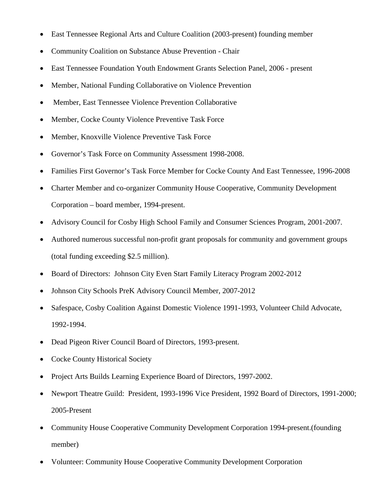- East Tennessee Regional Arts and Culture Coalition (2003-present) founding member
- Community Coalition on Substance Abuse Prevention Chair
- East Tennessee Foundation Youth Endowment Grants Selection Panel, 2006 present
- Member, National Funding Collaborative on Violence Prevention
- Member, East Tennessee Violence Prevention Collaborative
- Member, Cocke County Violence Preventive Task Force
- Member, Knoxville Violence Preventive Task Force
- Governor's Task Force on Community Assessment 1998-2008.
- Families First Governor's Task Force Member for Cocke County And East Tennessee, 1996-2008
- Charter Member and co-organizer Community House Cooperative, Community Development Corporation – board member, 1994-present.
- Advisory Council for Cosby High School Family and Consumer Sciences Program, 2001-2007.
- Authored numerous successful non-profit grant proposals for community and government groups (total funding exceeding \$2.5 million).
- Board of Directors: Johnson City Even Start Family Literacy Program 2002-2012
- Johnson City Schools PreK Advisory Council Member, 2007-2012
- Safespace, Cosby Coalition Against Domestic Violence 1991-1993, Volunteer Child Advocate, 1992-1994.
- Dead Pigeon River Council Board of Directors, 1993-present.
- Cocke County Historical Society
- Project Arts Builds Learning Experience Board of Directors, 1997-2002.
- Newport Theatre Guild: President, 1993-1996 Vice President, 1992 Board of Directors, 1991-2000; 2005-Present
- Community House Cooperative Community Development Corporation 1994-present.(founding member)
- Volunteer: Community House Cooperative Community Development Corporation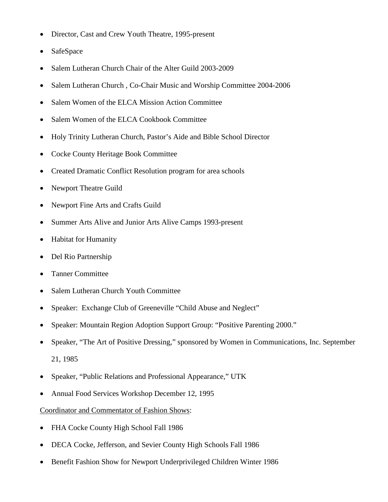- Director, Cast and Crew Youth Theatre, 1995-present
- **SafeSpace**
- Salem Lutheran Church Chair of the Alter Guild 2003-2009
- Salem Lutheran Church, Co-Chair Music and Worship Committee 2004-2006
- Salem Women of the ELCA Mission Action Committee
- Salem Women of the ELCA Cookbook Committee
- Holy Trinity Lutheran Church, Pastor's Aide and Bible School Director
- Cocke County Heritage Book Committee
- Created Dramatic Conflict Resolution program for area schools
- Newport Theatre Guild
- Newport Fine Arts and Crafts Guild
- Summer Arts Alive and Junior Arts Alive Camps 1993-present
- Habitat for Humanity
- Del Rio Partnership
- Tanner Committee
- Salem Lutheran Church Youth Committee
- Speaker: Exchange Club of Greeneville "Child Abuse and Neglect"
- Speaker: Mountain Region Adoption Support Group: "Positive Parenting 2000."
- Speaker, "The Art of Positive Dressing," sponsored by Women in Communications, Inc. September 21, 1985
- Speaker, "Public Relations and Professional Appearance," UTK
- Annual Food Services Workshop December 12, 1995

## Coordinator and Commentator of Fashion Shows:

- FHA Cocke County High School Fall 1986
- DECA Cocke, Jefferson, and Sevier County High Schools Fall 1986
- Benefit Fashion Show for Newport Underprivileged Children Winter 1986